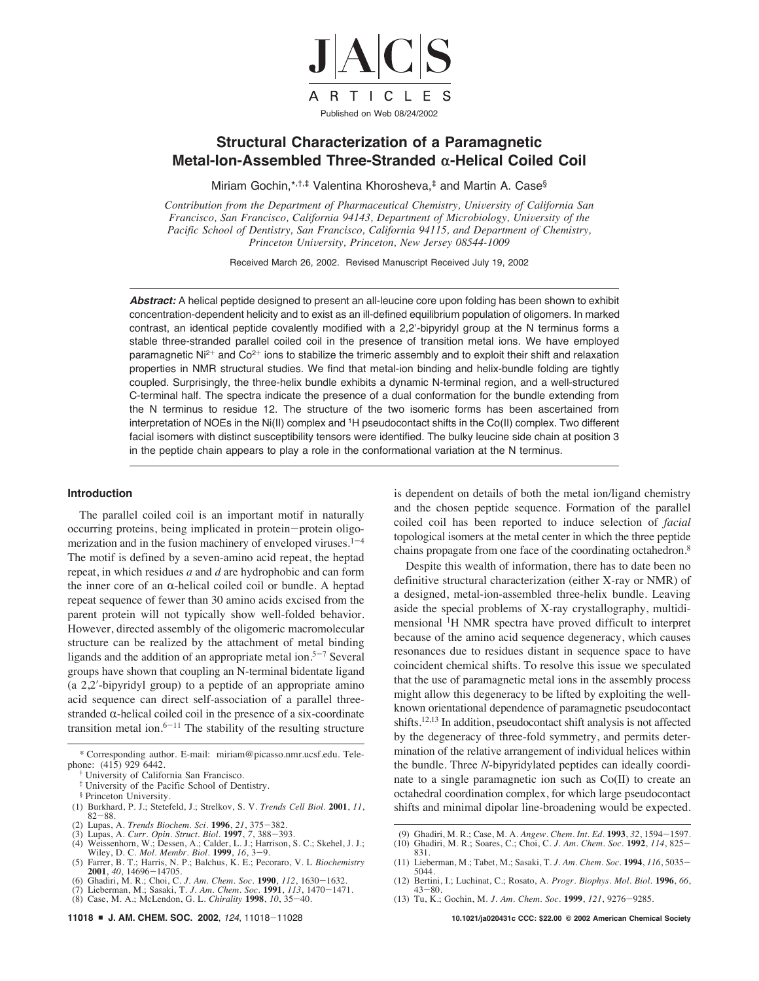

# **Structural Characterization of a Paramagnetic Metal-Ion-Assembled Three-Stranded α-Helical Coiled Coil**

Miriam Gochin,\*,†,‡ Valentina Khorosheva,‡ and Martin A. Case§

*Contribution from the Department of Pharmaceutical Chemistry, University of California San Francisco, San Francisco, California 94143, Department of Microbiology, University of the Pacific School of Dentistry, San Francisco, California 94115, and Department of Chemistry, Princeton University, Princeton, New Jersey 08544-1009* 

Received March 26, 2002. Revised Manuscript Received July 19, 2002

**Abstract:** A helical peptide designed to present an all-leucine core upon folding has been shown to exhibit concentration-dependent helicity and to exist as an ill-defined equilibrium population of oligomers. In marked contrast, an identical peptide covalently modified with a 2,2'-bipyridyl group at the N terminus forms a stable three-stranded parallel coiled coil in the presence of transition metal ions. We have employed paramagnetic Ni<sup>2+</sup> and Co<sup>2+</sup> ions to stabilize the trimeric assembly and to exploit their shift and relaxation properties in NMR structural studies. We find that metal-ion binding and helix-bundle folding are tightly coupled. Surprisingly, the three-helix bundle exhibits a dynamic N-terminal region, and a well-structured C-terminal half. The spectra indicate the presence of a dual conformation for the bundle extending from the N terminus to residue 12. The structure of the two isomeric forms has been ascertained from interpretation of NOEs in the Ni(II) complex and 1H pseudocontact shifts in the Co(II) complex. Two different facial isomers with distinct susceptibility tensors were identified. The bulky leucine side chain at position 3 in the peptide chain appears to play a role in the conformational variation at the N terminus.

## **Introduction**

The parallel coiled coil is an important motif in naturally occurring proteins, being implicated in protein-protein oligomerization and in the fusion machinery of enveloped viruses. $1-4$ The motif is defined by a seven-amino acid repeat, the heptad repeat, in which residues *a* and *d* are hydrophobic and can form the inner core of an  $\alpha$ -helical coiled coil or bundle. A heptad repeat sequence of fewer than 30 amino acids excised from the parent protein will not typically show well-folded behavior. However, directed assembly of the oligomeric macromolecular structure can be realized by the attachment of metal binding ligands and the addition of an appropriate metal ion.<sup>5-7</sup> Several groups have shown that coupling an N-terminal bidentate ligand (a 2,2!-bipyridyl group) to a peptide of an appropriate amino acid sequence can direct self-association of a parallel threestranded  $\alpha$ -helical coiled coil in the presence of a six-coordinate transition metal ion. $6-11$  The stability of the resulting structure

- † University of California San Francisco.
- ‡ University of the Pacific School of Dentistry.
- § Princeton University.
- (1) Burkhard, P. J.; Stetefeld, J.; Strelkov, S. V. *Trends Cell Biol.* **2001**, *11*, 82-88.
- (2) Lupas, A. *Trends Biochem. Sci.* **1996**, *21*, 375-382.
- 
- (3) Lupas, A. Curr. Opin. Struct. Biol. 1997, 7, 388–393.<br>
(4) Weissenhorn, W.; Dessen, A.; Calder, L. J.; Harrison, S. C.; Skehel, J. J.;<br>
Wiley, D. C. *Mol. Membr. Biol.* 1999, 16, 3–9.<br>
(5) Farrer, B. T.; Harris, N. P.;
- 
- 
- (7) Lieberman, M.; Sasaki, T. *J. Am. Chem. Soc.* **1991**, *113*, 1470-1471.

**11018** <sup>9</sup> **J. AM. CHEM. SOC. 2002**, <sup>124</sup>, 11018-11028 **10.1021/ja020431c CCC: \$22.00 © 2002 American Chemical Society**

is dependent on details of both the metal ion/ligand chemistry and the chosen peptide sequence. Formation of the parallel coiled coil has been reported to induce selection of *facial* topological isomers at the metal center in which the three peptide chains propagate from one face of the coordinating octahedron.8

Despite this wealth of information, there has to date been no definitive structural characterization (either X-ray or NMR) of a designed, metal-ion-assembled three-helix bundle. Leaving aside the special problems of X-ray crystallography, multidimensional 1H NMR spectra have proved difficult to interpret because of the amino acid sequence degeneracy, which causes resonances due to residues distant in sequence space to have coincident chemical shifts. To resolve this issue we speculated that the use of paramagnetic metal ions in the assembly process might allow this degeneracy to be lifted by exploiting the wellknown orientational dependence of paramagnetic pseudocontact shifts.12,13 In addition, pseudocontact shift analysis is not affected by the degeneracy of three-fold symmetry, and permits determination of the relative arrangement of individual helices within the bundle. Three *N*-bipyridylated peptides can ideally coordinate to a single paramagnetic ion such as Co(II) to create an octahedral coordination complex, for which large pseudocontact shifts and minimal dipolar line-broadening would be expected.

- (9) Ghadiri, M. R.; Case, M. A. *Angew. Chem. Int. Ed.* **1993**, *32*, 1594-1597. (10) Ghadiri, M. R.; Soares, C.; Choi, C. *J. Am. Chem. Soc*. **1992**, *114*, 825-
- 831.
- (11) Lieberman, M.; Tabet, M.; Sasaki, T. *J. Am. Chem. Soc*. **<sup>1994</sup>**, *<sup>116</sup>*, 5035- 5044.
- (12) Bertini, I.; Luchinat, C.; Rosato, A. *Progr. Biophys. Mol. Biol.* **1996**, *66*,  $43 - 80$
- (13) Tu, K.; Gochin, M. *J. Am. Chem. Soc*. **1999**, *121*, 9276-9285.

<sup>\*</sup> Corresponding author. E-mail: miriam@picasso.nmr.ucsf.edu. Telephone: (415) 929 6442.

<sup>(8)</sup> Case, M. A.; McLendon, G. L. *Chirality* **1998**, *10*, 35-40.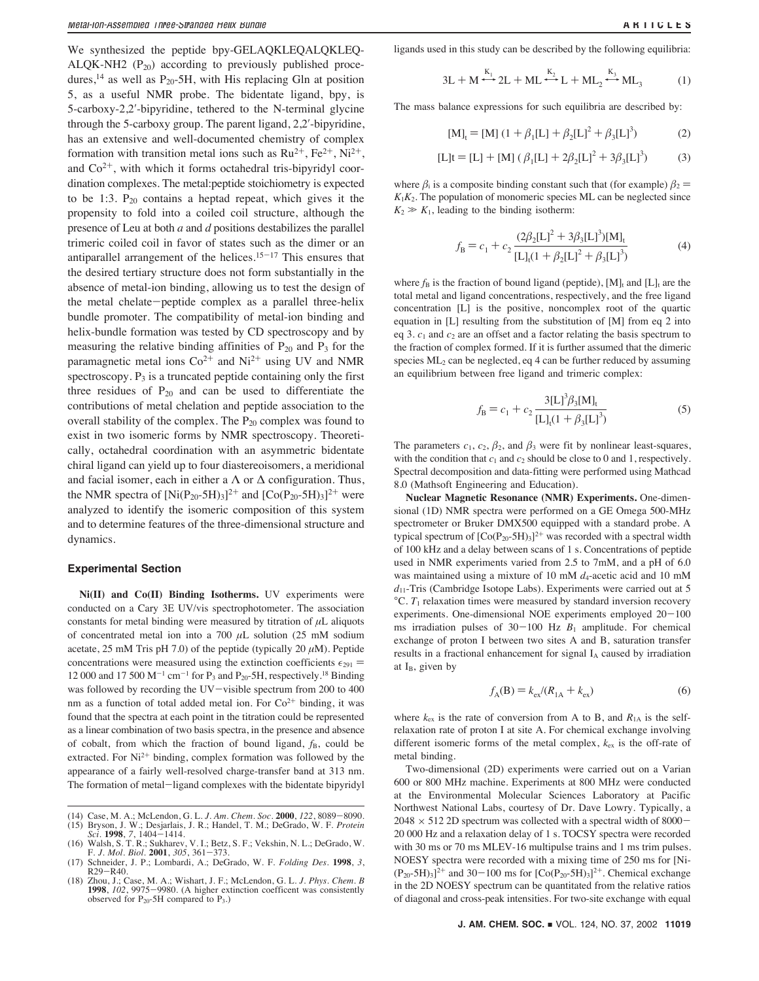We synthesized the peptide bpy-GELAQKLEQALQKLEQ-ALQK-NH2  $(P_{20})$  according to previously published procedures,<sup>14</sup> as well as  $P_{20}$ -5H, with His replacing Gln at position 5, as a useful NMR probe. The bidentate ligand, bpy, is 5-carboxy-2,2'-bipyridine, tethered to the N-terminal glycine through the 5-carboxy group. The parent ligand,  $2,2'$ -bipyridine, has an extensive and well-documented chemistry of complex formation with transition metal ions such as  $Ru^{2+}$ ,  $Fe^{2+}$ ,  $Ni^{2+}$ , and  $Co<sup>2+</sup>$ , with which it forms octahedral tris-bipyridyl coordination complexes. The metal:peptide stoichiometry is expected to be 1:3.  $P_{20}$  contains a heptad repeat, which gives it the propensity to fold into a coiled coil structure, although the presence of Leu at both *a* and *d* positions destabilizes the parallel trimeric coiled coil in favor of states such as the dimer or an antiparallel arrangement of the helices.<sup>15-17</sup> This ensures that the desired tertiary structure does not form substantially in the absence of metal-ion binding, allowing us to test the design of the metal chelate-peptide complex as a parallel three-helix bundle promoter. The compatibility of metal-ion binding and helix-bundle formation was tested by CD spectroscopy and by measuring the relative binding affinities of  $P_{20}$  and  $P_3$  for the paramagnetic metal ions  $Co^{2+}$  and  $Ni^{2+}$  using UV and NMR spectroscopy.  $P_3$  is a truncated peptide containing only the first three residues of  $P_{20}$  and can be used to differentiate the contributions of metal chelation and peptide association to the overall stability of the complex. The  $P_{20}$  complex was found to exist in two isomeric forms by NMR spectroscopy. Theoretically, octahedral coordination with an asymmetric bidentate chiral ligand can yield up to four diastereoisomers, a meridional and facial isomer, each in either a  $\Lambda$  or  $\Delta$  configuration. Thus, the NMR spectra of  $[Ni(P_{20}-5H)_{3}]^{2+}$  and  $[Co(P_{20}-5H)_{3}]^{2+}$  were analyzed to identify the isomeric composition of this system and to determine features of the three-dimensional structure and dynamics.

#### **Experimental Section**

**Ni(II) and Co(II) Binding Isotherms.** UV experiments were conducted on a Cary 3E UV/vis spectrophotometer. The association constants for metal binding were measured by titration of  $\mu$ L aliquots of concentrated metal ion into a 700  $\mu$ L solution (25 mM sodium acetate, 25 mM Tris pH 7.0) of the peptide (typically 20  $\mu$ M). Peptide concentrations were measured using the extinction coefficients  $\epsilon_{291}$  = 12 000 and 17 500  $M^{-1}$  cm<sup>-1</sup> for P<sub>3</sub> and P<sub>20</sub>-5H, respectively.<sup>18</sup> Binding was followed by recording the UV-visible spectrum from 200 to 400 nm as a function of total added metal ion. For  $Co<sup>2+</sup>$  binding, it was found that the spectra at each point in the titration could be represented as a linear combination of two basis spectra, in the presence and absence of cobalt, from which the fraction of bound ligand,  $f_B$ , could be extracted. For Ni<sup>2+</sup> binding, complex formation was followed by the appearance of a fairly well-resolved charge-transfer band at 313 nm. The formation of metal-ligand complexes with the bidentate bipyridyl ligands used in this study can be described by the following equilibria:

$$
3L + M \xrightarrow{K_1} 2L + ML \xrightarrow{K_2} L + ML_2 \xrightarrow{K_3} ML_3 \tag{1}
$$

The mass balance expressions for such equilibria are described by:

$$
[M]_t = [M] (1 + \beta_1[L] + \beta_2[L]^2 + \beta_3[L]^3)
$$
 (2)

$$
[L]t = [L] + [M] (\beta_1[L] + 2\beta_2[L]^2 + 3\beta_3[L]^3)
$$
 (3)

where  $\beta_i$  is a composite binding constant such that (for example)  $\beta_2$  =  $K_1K_2$ . The population of monomeric species ML can be neglected since  $K_2 \gg K_1$ , leading to the binding isotherm:

$$
f_{\rm B} = c_1 + c_2 \frac{(2\beta_2[L]^2 + 3\beta_3[L]^3)[M]_t}{[L]_t(1 + \beta_2[L]^2 + \beta_3[L]^3)}
$$
(4)

where  $f_B$  is the fraction of bound ligand (peptide), [M]<sub>t</sub> and [L]<sub>t</sub> are the total metal and ligand concentrations, respectively, and the free ligand concentration [L] is the positive, noncomplex root of the quartic equation in [L] resulting from the substitution of [M] from eq 2 into eq 3. *c*<sup>1</sup> and *c*<sup>2</sup> are an offset and a factor relating the basis spectrum to the fraction of complex formed. If it is further assumed that the dimeric species  $ML_2$  can be neglected, eq 4 can be further reduced by assuming an equilibrium between free ligand and trimeric complex:

$$
f_{\rm B} = c_1 + c_2 \frac{3[\rm L]^3 \beta_3[\rm M]_t}{[\rm L]_t (1 + \beta_3[\rm L]^3)}
$$
(5)

The parameters  $c_1$ ,  $c_2$ ,  $\beta_2$ , and  $\beta_3$  were fit by nonlinear least-squares, with the condition that  $c_1$  and  $c_2$  should be close to 0 and 1, respectively. Spectral decomposition and data-fitting were performed using Mathcad 8.0 (Mathsoft Engineering and Education).

**Nuclear Magnetic Resonance (NMR) Experiments.** One-dimensional (1D) NMR spectra were performed on a GE Omega 500-MHz spectrometer or Bruker DMX500 equipped with a standard probe. A typical spectrum of  $[Co(P<sub>20</sub>-5H)<sub>3</sub>]<sup>2+</sup>$  was recorded with a spectral width of 100 kHz and a delay between scans of 1 s. Concentrations of peptide used in NMR experiments varied from 2.5 to 7mM, and a pH of 6.0 was maintained using a mixture of 10 mM  $d_4$ -acetic acid and 10 mM *d*11-Tris (Cambridge Isotope Labs). Experiments were carried out at 5  $^{\circ}$ C.  $T_1$  relaxation times were measured by standard inversion recovery experiments. One-dimensional NOE experiments employed  $20-100$ ms irradiation pulses of  $30-100$  Hz  $B_1$  amplitude. For chemical exchange of proton I between two sites A and B, saturation transfer results in a fractional enhancement for signal I<sub>A</sub> caused by irradiation at  $I_B$ , given by

$$
f_{A}(B) = k_{ex}/(R_{1A} + k_{ex})
$$
 (6)

where  $k_{ex}$  is the rate of conversion from A to B, and  $R_{1A}$  is the selfrelaxation rate of proton I at site A. For chemical exchange involving different isomeric forms of the metal complex, *k*ex is the off-rate of metal binding.

Two-dimensional (2D) experiments were carried out on a Varian 600 or 800 MHz machine. Experiments at 800 MHz were conducted at the Environmental Molecular Sciences Laboratory at Pacific Northwest National Labs, courtesy of Dr. Dave Lowry. Typically, a  $2048 \times 512$  2D spectrum was collected with a spectral width of 8000-20 000 Hz and a relaxation delay of 1 s. TOCSY spectra were recorded with 30 ms or 70 ms MLEV-16 multipulse trains and 1 ms trim pulses. NOESY spectra were recorded with a mixing time of 250 ms for [Ni-  $(P_{20} - 5H)_3$ <sup>2+</sup> and 30-100 ms for  $[Co(P_{20} - 5H)_3]$ <sup>2+</sup>. Chemical exchange in the 2D NOESY spectrum can be quantitated from the relative ratios of diagonal and cross-peak intensities. For two-site exchange with equal

<sup>(14)</sup> Case, M. A.; McLendon, G. L. *J. Am. Chem. Soc*. **2000**, *122*, 8089-8090. (15) Bryson, J. W.; Desjarlais, J. R.; Handel, T. M.; DeGrado, W. F. *Protein Sci.* **1998**, *7*, 1404-1414.

<sup>(16)</sup> Walsh, S. T. R.; Sukharev, V. I.; Betz, S. F.; Vekshin, N. L.; DeGrado, W. F. *J. Mol. Biol*. **2001**, *305*, 361-373.

<sup>(17)</sup> Schneider, J. P.; Lombardi, A.; DeGrado, W. F. *Folding Des.* **<sup>1998</sup>**, *<sup>3</sup>*, R29-R40.

<sup>(18)</sup> Zhou, J.; Case, M. A.; Wishart, J. F.; McLendon, G. L. *J. Phys. Chem. B* **1998**, *102*, 9975-9980. (A higher extinction coefficent was consistently observed for  $P_{20}$ -5H compared to  $P_{3.}$ )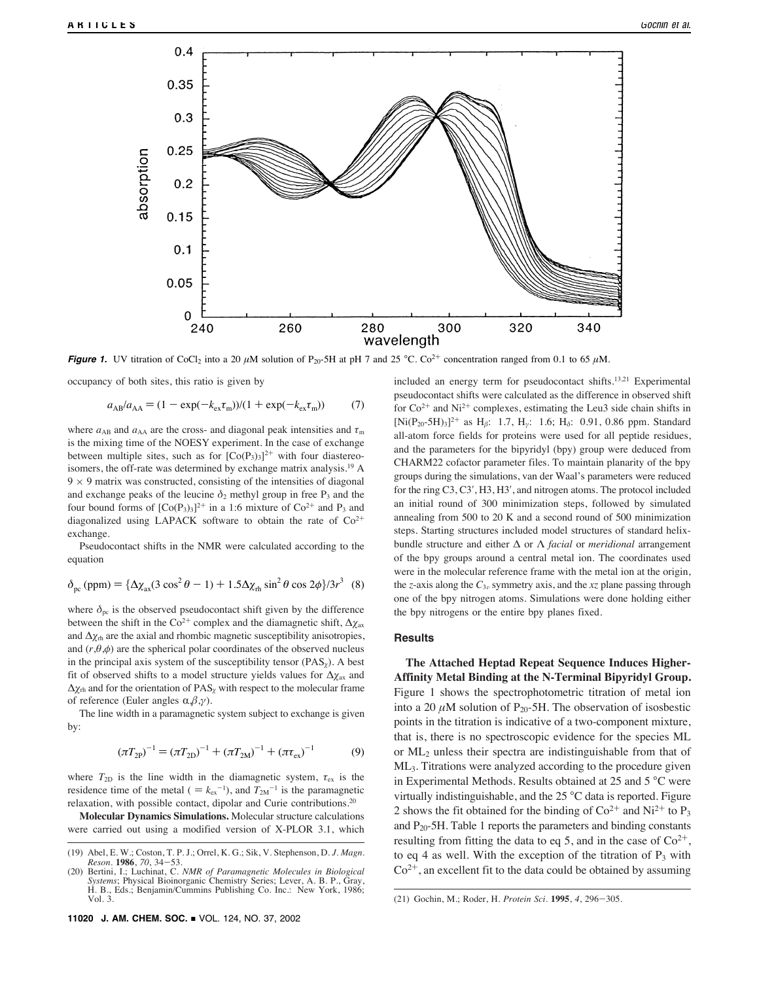

**Figure 1.** UV titration of CoCl<sub>2</sub> into a 20  $\mu$ M solution of P<sub>20</sub>-5H at pH 7 and 25 °C. Co<sup>2+</sup> concentration ranged from 0.1 to 65  $\mu$ M.

occupancy of both sites, this ratio is given by

$$
a_{AB}/a_{AA} = (1 - \exp(-k_{ex}\tau_m))/(1 + \exp(-k_{ex}\tau_m))
$$
 (7)

where  $a_{AB}$  and  $a_{AA}$  are the cross- and diagonal peak intensities and  $\tau_m$ is the mixing time of the NOESY experiment. In the case of exchange between multiple sites, such as for  $[Co(P<sub>3</sub>)<sub>3</sub>]<sup>2+</sup>$  with four diastereoisomers, the off-rate was determined by exchange matrix analysis.19 A  $9 \times 9$  matrix was constructed, consisting of the intensities of diagonal and exchange peaks of the leucine  $\delta_2$  methyl group in free  $P_3$  and the four bound forms of  $[Co(P_3)_3]^{2+}$  in a 1:6 mixture of  $Co^{2+}$  and P<sub>3</sub> and diagonalized using LAPACK software to obtain the rate of  $Co<sup>2+</sup>$ exchange.

Pseudocontact shifts in the NMR were calculated according to the equation

$$
\delta_{\rm pc} \, (\text{ppm}) = \{ \Delta \chi_{\rm ax} (3 \cos^2 \theta - 1) + 1.5 \Delta \chi_{\rm rh} \sin^2 \theta \cos 2\phi \} / 3r^3 \quad (8)
$$

where  $\delta_{\text{pc}}$  is the observed pseudocontact shift given by the difference between the shift in the Co<sup>2+</sup> complex and the diamagnetic shift,  $\Delta \chi$ <sub>ax</sub> and  $\Delta \chi_{rh}$  are the axial and rhombic magnetic susceptibility anisotropies, and  $(r, \theta, \phi)$  are the spherical polar coordinates of the observed nucleus in the principal axis system of the susceptibility tensor  $( PAS<sub>x</sub>)$ . A best fit of observed shifts to a model structure yields values for  $\Delta \chi_{\text{ax}}$  and  $\Delta \chi_{\text{th}}$  and for the orientation of PAS<sub> $\chi$ </sub> with respect to the molecular frame of reference (Euler angles  $\alpha, \beta, \gamma$ ).

The line width in a paramagnetic system subject to exchange is given by:

$$
(\pi T_{2P})^{-1} = (\pi T_{2D})^{-1} + (\pi T_{2M})^{-1} + (\pi \tau_{ex})^{-1}
$$
 (9)

where  $T_{2D}$  is the line width in the diamagnetic system,  $\tau_{ex}$  is the residence time of the metal ( $=k_{ex}^{-1}$ ), and  $T_{2M}^{-1}$  is the paramagnetic relaxation, with possible contact, dipolar and Curie contributions.20

**Molecular Dynamics Simulations.** Molecular structure calculations were carried out using a modified version of X-PLOR 3.1, which included an energy term for pseudocontact shifts.13,21 Experimental pseudocontact shifts were calculated as the difference in observed shift for  $Co^{2+}$  and Ni<sup>2+</sup> complexes, estimating the Leu3 side chain shifts in  $[Ni(P<sub>20</sub>-5H)<sub>3</sub>]$ <sup>2+</sup> as H<sub>β</sub>: 1.7, H<sub>v</sub>: 1.6; H<sub>δ</sub>: 0.91, 0.86 ppm. Standard all-atom force fields for proteins were used for all peptide residues, and the parameters for the bipyridyl (bpy) group were deduced from CHARM22 cofactor parameter files. To maintain planarity of the bpy groups during the simulations, van der Waal's parameters were reduced for the ring C3, C3', H3, H3', and nitrogen atoms. The protocol included an initial round of 300 minimization steps, followed by simulated annealing from 500 to 20 K and a second round of 500 minimization steps. Starting structures included model structures of standard helixbundle structure and either ∆ or Λ *facial* or *meridional* arrangement of the bpy groups around a central metal ion. The coordinates used were in the molecular reference frame with the metal ion at the origin, the *z*-axis along the  $C_{3v}$  symmetry axis, and the *xz* plane passing through one of the bpy nitrogen atoms. Simulations were done holding either the bpy nitrogens or the entire bpy planes fixed.

# **Results**

**The Attached Heptad Repeat Sequence Induces Higher-Affinity Metal Binding at the N-Terminal Bipyridyl Group.** Figure 1 shows the spectrophotometric titration of metal ion into a 20  $\mu$ M solution of P<sub>20</sub>-5H. The observation of isosbestic points in the titration is indicative of a two-component mixture, that is, there is no spectroscopic evidence for the species ML or  $ML_2$  unless their spectra are indistinguishable from that of ML<sub>3</sub>. Titrations were analyzed according to the procedure given in Experimental Methods. Results obtained at 25 and 5 °C were virtually indistinguishable, and the 25 °C data is reported. Figure 2 shows the fit obtained for the binding of  $Co^{2+}$  and  $Ni^{2+}$  to P<sub>3</sub> and  $P_{20}$ -5H. Table 1 reports the parameters and binding constants resulting from fitting the data to eq 5, and in the case of  $Co^{2+}$ , to eq 4 as well. With the exception of the titration of  $P_3$  with  $Co<sup>2+</sup>$ , an excellent fit to the data could be obtained by assuming

<sup>(19)</sup> Abel, E. W.; Coston, T. P. J.; Orrel, K. G.; Sik, V. Stephenson, D. *J. Magn. Reson*. **1986**, *70*, 34-53.

<sup>(20)</sup> Bertini, I.; Luchinat, C. *NMR of Paramagnetic Molecules in Biological Systems*; Physical Bioinorganic Chemistry Series; Lever, A. B. P., Gray, H. B., Eds.; Benjamin/Cummins Publishing Co. Inc.: New York, 1986;

Vol. 3. (21) Gochin, M.; Roder, H. *Protein Sci.* **1995**, *4*, 296-305.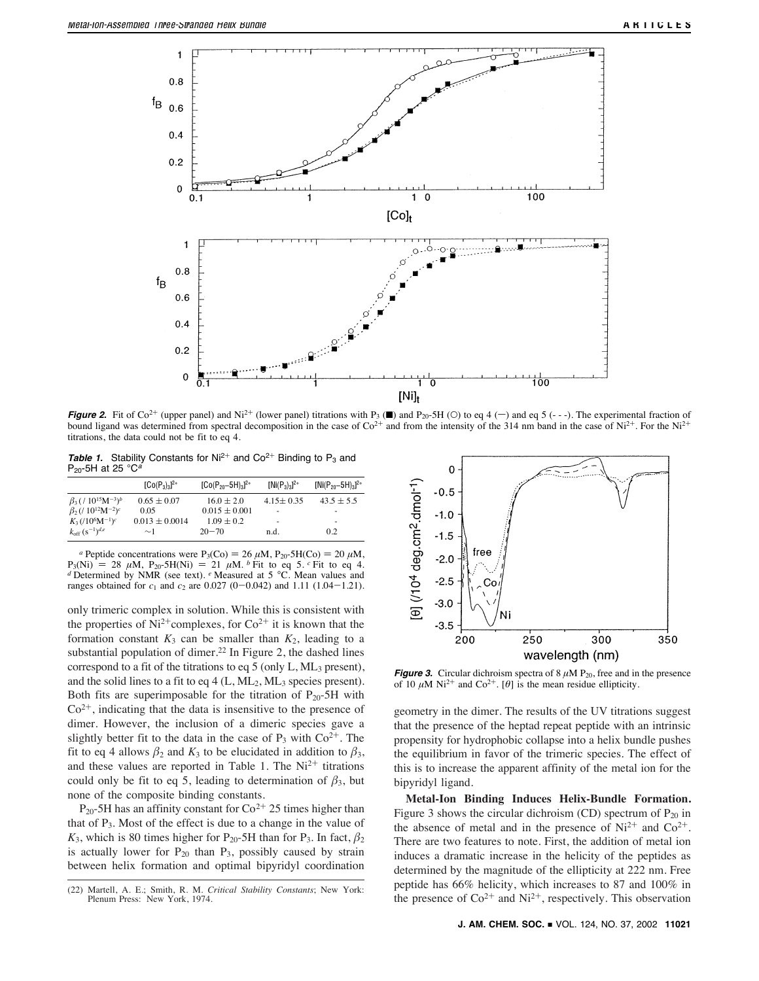

**Figure 2.** Fit of Co<sup>2+</sup> (upper panel) and Ni<sup>2+</sup> (lower panel) titrations with P<sub>3</sub> ( $\blacksquare$ ) and P<sub>20</sub>-5H (O) to eq 4 (-) and eq 5 (---). The experimental fraction of bound ligand was determined from spectral decomposition in the case of  $\text{Co}^{2+}$  and from the intensity of the 314 nm band in the case of  $\text{Ni}^{2+}$ . For the Ni<sup>2+</sup> titrations, the data could not be fit to eq 4.

**Table 1.** Stability Constants for  $Ni^{2+}$  and  $Co^{2+}$  Binding to  $P_3$  and  $P_{20}$ -5H at 25 °C<sup>a</sup>

|                                                               | $[Co(P_3)_3]^{2+}$ | $[Co(P_{20}-5H)3]^{2+}$ | $[Ni(P_3)_3]^{2+}$ | $[Ni(P_{20}-5H)3]^{2+}$ |
|---------------------------------------------------------------|--------------------|-------------------------|--------------------|-------------------------|
| $\beta_3$ ( / 10 <sup>15</sup> M <sup>-3</sup> ) <sup>b</sup> | $0.65 + 0.07$      | $16.0 + 2.0$            | $4.15 + 0.35$      | $43.5 + 5.5$            |
| $\beta_2$ (/ 10 <sup>12</sup> M <sup>-2</sup> ) <sup>c</sup>  | 0.05               | $0.015 + 0.001$         | ۰                  | ۰                       |
| $K_3$ (/10 <sup>6</sup> M <sup>-1</sup> ) <sup>c</sup>        | $0.013 + 0.0014$   | $1.09 + 0.2$            | ۰                  |                         |
| $k_{\rm off}$ $(s^{-1})^{d,e}$                                | $\sim$ 1           | $20 - 70$               | n.d.               | 0.2                     |

<sup>*a*</sup> Peptide concentrations were P<sub>3</sub>(Co) = 26  $\mu$ M, P<sub>20</sub>-5H(Co) = 20  $\mu$ M,  $P_3(Ni) = 28 \mu M$ ,  $P_{20}$ -5H(Ni) = 21  $\mu M$ . *b* Fit to eq 5. *c* Fit to eq 4. *d* Determined by NMR (see text). *e* Measured at 5 °C. Mean values and ranges obtained for *c*<sup>1</sup> and *c*<sup>2</sup> are 0.027 (0-0.042) and 1.11 (1.04-1.21).

only trimeric complex in solution. While this is consistent with the properties of  $Ni^{2+}$ complexes, for  $Co^{2+}$  it is known that the formation constant  $K_3$  can be smaller than  $K_2$ , leading to a substantial population of dimer.<sup>22</sup> In Figure 2, the dashed lines correspond to a fit of the titrations to eq 5 (only  $L$ ,  $ML_3$  present), and the solid lines to a fit to eq  $4$  (L, ML<sub>2</sub>, ML<sub>3</sub> species present). Both fits are superimposable for the titration of  $P_{20}$ -5H with  $Co<sup>2+</sup>$ , indicating that the data is insensitive to the presence of dimer. However, the inclusion of a dimeric species gave a slightly better fit to the data in the case of  $P_3$  with  $Co^{2+}$ . The fit to eq 4 allows  $\beta_2$  and  $K_3$  to be elucidated in addition to  $\beta_3$ , and these values are reported in Table 1. The  $Ni<sup>2+</sup>$  titrations could only be fit to eq 5, leading to determination of  $\beta_3$ , but none of the composite binding constants.

P<sub>20</sub>-5H has an affinity constant for  $Co^{2+}$  25 times higher than that of  $P_3$ . Most of the effect is due to a change in the value of  $K_3$ , which is 80 times higher for P<sub>20</sub>-5H than for P<sub>3</sub>. In fact,  $\beta_2$ is actually lower for  $P_{20}$  than  $P_3$ , possibly caused by strain between helix formation and optimal bipyridyl coordination



**Figure 3.** Circular dichroism spectra of  $8 \mu M$  P<sub>20</sub>, free and in the presence of 10  $\mu$ M Ni<sup>2+</sup> and Co<sup>2+</sup>. [ $\theta$ ] is the mean residue ellipticity.

geometry in the dimer. The results of the UV titrations suggest that the presence of the heptad repeat peptide with an intrinsic propensity for hydrophobic collapse into a helix bundle pushes the equilibrium in favor of the trimeric species. The effect of this is to increase the apparent affinity of the metal ion for the bipyridyl ligand.

**Metal-Ion Binding Induces Helix-Bundle Formation.** Figure 3 shows the circular dichroism (CD) spectrum of  $P_{20}$  in the absence of metal and in the presence of  $Ni^{2+}$  and  $Co^{2+}$ . There are two features to note. First, the addition of metal ion induces a dramatic increase in the helicity of the peptides as determined by the magnitude of the ellipticity at 222 nm. Free peptide has 66% helicity, which increases to 87 and 100% in (22) Martell, A. E.; Smith, R. M. *Critical Stability Constants*; New York: Pepude has  $60\%$  helicity, which increases to  $\delta$ / and  $100\%$  in the presence of  $\text{Co}^{2+}$  and  $\text{Ni}^{2+}$ , respectively. This observation

Plenum Press: New York, 1974.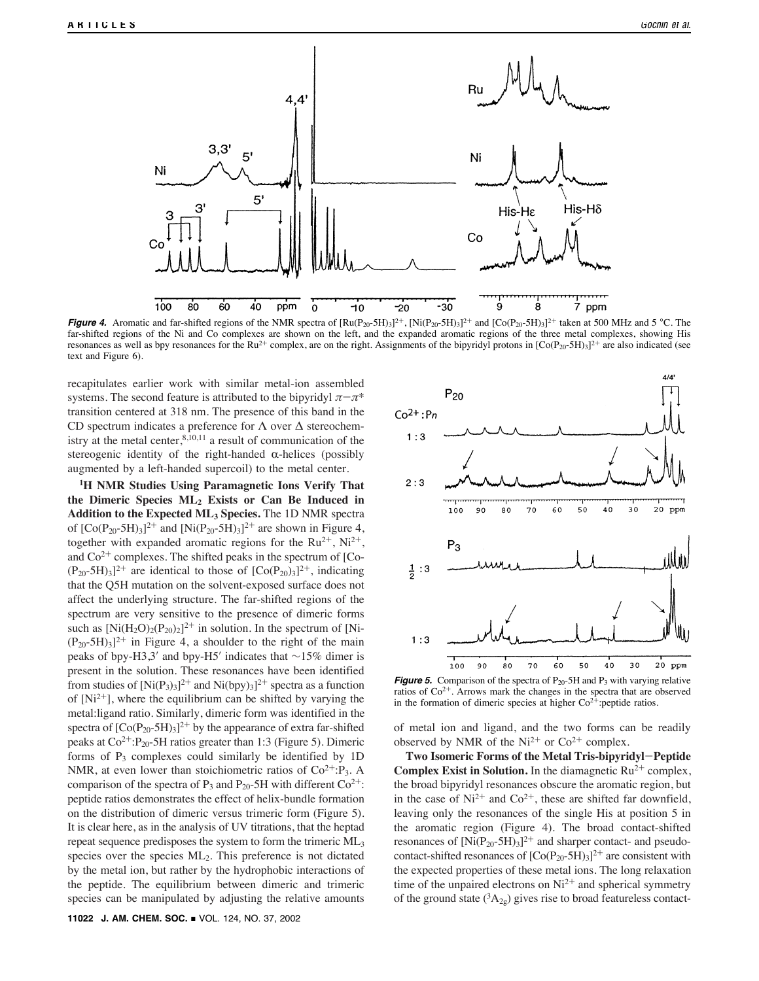

**Figure 4.** Aromatic and far-shifted regions of the NMR spectra of  $\left[\text{Ru}(P_{20-}5H)_{3}\right]^{2+}$ ,  $\left[\text{Ni}(P_{20-}5H)_{3}\right]^{2+}$  and  $\left[\text{Co}(P_{20-}5H)_{3}\right]^{2+}$  taken at 500 MHz and 5 °C. The far-shifted regions of the Ni and Co complexes are shown on the left, and the expanded aromatic regions of the three metal complexes, showing His resonances as well as bpy resonances for the Ru<sup>2+</sup> complex, are on the right. Assignments of the bipyridyl protons in  $[Co(P_{20}-5H)_3]^{2+}$  are also indicated (see text and Figure 6).

recapitulates earlier work with similar metal-ion assembled systems. The second feature is attributed to the bipyridyl  $\pi-\pi^*$ transition centered at 318 nm. The presence of this band in the CD spectrum indicates a preference for Λ over ∆ stereochemistry at the metal center,  $8,10,11$  a result of communication of the stereogenic identity of the right-handed  $\alpha$ -helices (possibly augmented by a left-handed supercoil) to the metal center.

**1H NMR Studies Using Paramagnetic Ions Verify That the Dimeric Species ML2 Exists or Can Be Induced in Addition to the Expected ML3 Species.** The 1D NMR spectra of  $[Co(P_{20}-5H)_3]^{2+}$  and  $[Ni(P_{20}-5H)_3]^{2+}$  are shown in Figure 4, together with expanded aromatic regions for the  $Ru^{2+}$ ,  $Ni^{2+}$ , and  $Co<sup>2+</sup>$  complexes. The shifted peaks in the spectrum of [Co- $(P_{20}-5H)_{3}$ <sup>2+</sup> are identical to those of  $[Co(P_{20})_{3}]^{2+}$ , indicating that the Q5H mutation on the solvent-exposed surface does not affect the underlying structure. The far-shifted regions of the spectrum are very sensitive to the presence of dimeric forms such as  $[Ni(H_2O)_2(P_{20})_2]^2$ <sup>+</sup> in solution. In the spectrum of [Ni- $(P_{20}-5H)_{3}$ <sup>2+</sup> in Figure 4, a shoulder to the right of the main peaks of bpy-H3,3' and bpy-H5' indicates that ∼15% dimer is present in the solution. These resonances have been identified from studies of  $[Ni(P_3)_3]^{2+}$  and  $Ni(bpy)_3]^{2+}$  spectra as a function of  $[Ni^{2+}]$ , where the equilibrium can be shifted by varying the metal:ligand ratio. Similarly, dimeric form was identified in the spectra of  $[Co(P<sub>20</sub>-5H)<sub>3</sub>]^{2+}$  by the appearance of extra far-shifted peaks at  $Co^{2+}$ : P<sub>20</sub>-5H ratios greater than 1:3 (Figure 5). Dimeric forms of  $P_3$  complexes could similarly be identified by 1D NMR, at even lower than stoichiometric ratios of  $Co^{2+}:P_3$ . A comparison of the spectra of P<sub>3</sub> and P<sub>20</sub>-5H with different  $Co^{2+}$ : peptide ratios demonstrates the effect of helix-bundle formation on the distribution of dimeric versus trimeric form (Figure 5). It is clear here, as in the analysis of UV titrations, that the heptad repeat sequence predisposes the system to form the trimeric ML3 species over the species ML2. This preference is not dictated by the metal ion, but rather by the hydrophobic interactions of the peptide. The equilibrium between dimeric and trimeric species can be manipulated by adjusting the relative amounts



**Figure 5.** Comparison of the spectra of  $P_{20}$ -5H and  $P_3$  with varying relative ratios of Co2<sup>+</sup>. Arrows mark the changes in the spectra that are observed in the formation of dimeric species at higher  $Co^{2+}$ :peptide ratios.

of metal ion and ligand, and the two forms can be readily observed by NMR of the  $Ni^{2+}$  or  $Co^{2+}$  complex.

**Two Isomeric Forms of the Metal Tris-bipyridyl**-**Peptide Complex Exist in Solution.** In the diamagnetic  $Ru^{2+}$  complex, the broad bipyridyl resonances obscure the aromatic region, but in the case of  $Ni^{2+}$  and  $Co^{2+}$ , these are shifted far downfield, leaving only the resonances of the single His at position 5 in the aromatic region (Figure 4). The broad contact-shifted resonances of  $[Ni(P_{20}-5H)_3]^{2+}$  and sharper contact- and pseudocontact-shifted resonances of  $[Co(P<sub>20</sub>-5H)<sub>3</sub>]^{2+}$  are consistent with the expected properties of these metal ions. The long relaxation time of the unpaired electrons on  $Ni^{2+}$  and spherical symmetry of the ground state  $({}^3A_{2g})$  gives rise to broad featureless contact-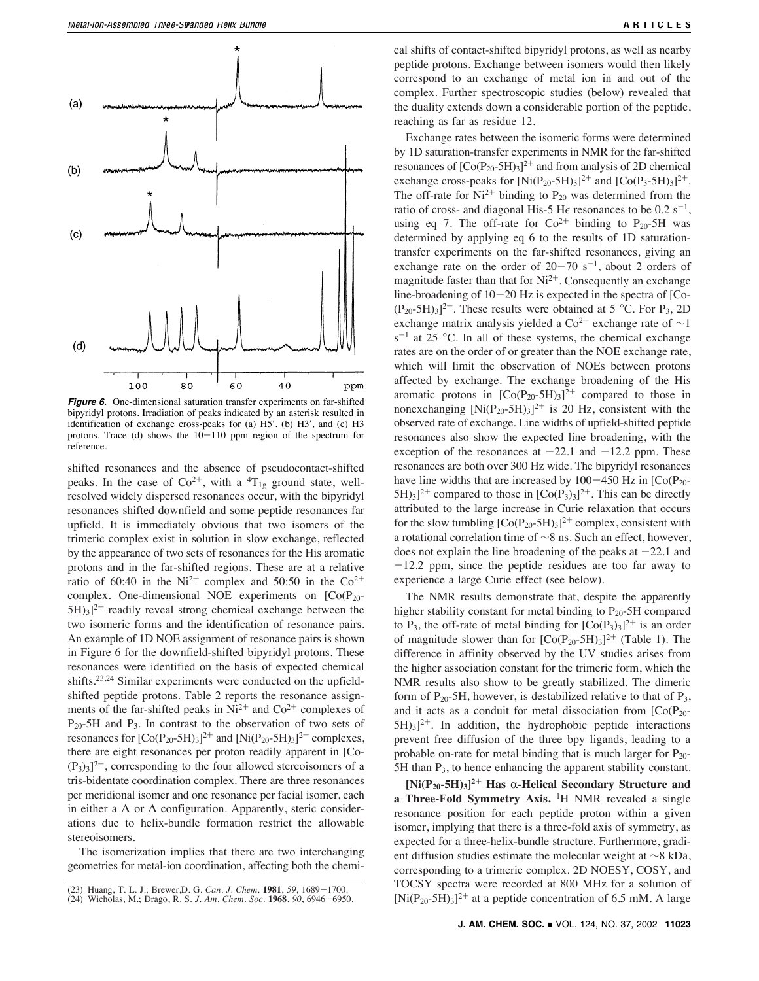

**Figure 6.** One-dimensional saturation transfer experiments on far-shifted bipyridyl protons. Irradiation of peaks indicated by an asterisk resulted in identification of exchange cross-peaks for (a) H5', (b) H3', and (c) H3 protons. Trace (d) shows the  $10-110$  ppm region of the spectrum for reference.

shifted resonances and the absence of pseudocontact-shifted peaks. In the case of  $Co^{2+}$ , with a <sup>4</sup>T<sub>1g</sub> ground state, wellresolved widely dispersed resonances occur, with the bipyridyl resonances shifted downfield and some peptide resonances far upfield. It is immediately obvious that two isomers of the trimeric complex exist in solution in slow exchange, reflected by the appearance of two sets of resonances for the His aromatic protons and in the far-shifted regions. These are at a relative ratio of 60:40 in the Ni<sup>2+</sup> complex and 50:50 in the Co<sup>2+</sup> complex. One-dimensional NOE experiments on  $[Co(P<sub>20</sub> 5H$ )<sub>3</sub>]<sup>2+</sup> readily reveal strong chemical exchange between the two isomeric forms and the identification of resonance pairs. An example of 1D NOE assignment of resonance pairs is shown in Figure 6 for the downfield-shifted bipyridyl protons. These resonances were identified on the basis of expected chemical shifts.23,24 Similar experiments were conducted on the upfieldshifted peptide protons. Table 2 reports the resonance assignments of the far-shifted peaks in  $Ni^{2+}$  and  $Co^{2+}$  complexes of  $P_{20}$ -5H and  $P_3$ . In contrast to the observation of two sets of resonances for  $[Co(P<sub>20</sub>-5H)<sub>3</sub>]^{2+}$  and  $[Ni(P<sub>20</sub>-5H)<sub>3</sub>]^{2+}$  complexes, there are eight resonances per proton readily apparent in [Co-  $(P_3)_{3}]^{2+}$ , corresponding to the four allowed stereoisomers of a tris-bidentate coordination complex. There are three resonances per meridional isomer and one resonance per facial isomer, each in either a  $\Lambda$  or  $\Delta$  configuration. Apparently, steric considerations due to helix-bundle formation restrict the allowable stereoisomers.

The isomerization implies that there are two interchanging geometries for metal-ion coordination, affecting both the chemical shifts of contact-shifted bipyridyl protons, as well as nearby peptide protons. Exchange between isomers would then likely correspond to an exchange of metal ion in and out of the complex. Further spectroscopic studies (below) revealed that the duality extends down a considerable portion of the peptide, reaching as far as residue 12.

Exchange rates between the isomeric forms were determined by 1D saturation-transfer experiments in NMR for the far-shifted resonances of  $[Co(P<sub>20</sub>-5H)<sub>3</sub>]^{2+}$  and from analysis of 2D chemical exchange cross-peaks for  $[Ni(P_{20}-5H)_{3}]^{2+}$  and  $[Co(P_{3}-5H)_{3}]^{2+}$ . The off-rate for  $Ni^{2+}$  binding to  $P_{20}$  was determined from the ratio of cross- and diagonal His-5 H $\epsilon$  resonances to be 0.2 s<sup>-1</sup>, using eq 7. The off-rate for  $Co^{2+}$  binding to  $P_{20}$ -5H was determined by applying eq 6 to the results of 1D saturationtransfer experiments on the far-shifted resonances, giving an exchange rate on the order of  $20-70$  s<sup>-1</sup>, about 2 orders of magnitude faster than that for  $Ni^{2+}$ . Consequently an exchange line-broadening of  $10-20$  Hz is expected in the spectra of [Co- $(P_{20} - 5H)_{3}]^{2+}$ . These results were obtained at 5 °C. For P<sub>3</sub>, 2D exchange matrix analysis yielded a  $Co^{2+}$  exchange rate of  $\sim$ 1  $s^{-1}$  at 25 °C. In all of these systems, the chemical exchange rates are on the order of or greater than the NOE exchange rate, which will limit the observation of NOEs between protons affected by exchange. The exchange broadening of the His aromatic protons in  $[Co(P<sub>20</sub>-5H)<sub>3</sub>]^{2+}$  compared to those in nonexchanging  $[Ni(P_{20}-5H)_3]^{2+}$  is 20 Hz, consistent with the observed rate of exchange. Line widths of upfield-shifted peptide resonances also show the expected line broadening, with the exception of the resonances at  $-22.1$  and  $-12.2$  ppm. These resonances are both over 300 Hz wide. The bipyridyl resonances have line widths that are increased by  $100-450$  Hz in  $[Co(P<sub>20</sub>-1)]$  $5H$ <sub>3</sub>]<sup>2+</sup> compared to those in  $[Co(P_3)_3]^{2+}$ . This can be directly attributed to the large increase in Curie relaxation that occurs for the slow tumbling  $[Co(P<sub>20</sub>-5H)<sub>3</sub>]<sup>2+</sup>$  complex, consistent with a rotational correlation time of ∼8 ns. Such an effect, however, does not explain the line broadening of the peaks at  $-22.1$  and  $-12.2$  ppm, since the peptide residues are too far away to experience a large Curie effect (see below).

The NMR results demonstrate that, despite the apparently higher stability constant for metal binding to  $P_{20}$ -5H compared to P<sub>3</sub>, the off-rate of metal binding for  $[Co(P_3)_3]^{2+}$  is an order of magnitude slower than for  $[Co(P<sub>20</sub>-5H)<sub>3</sub>]^{2+}$  (Table 1). The difference in affinity observed by the UV studies arises from the higher association constant for the trimeric form, which the NMR results also show to be greatly stabilized. The dimeric form of  $P_{20}$ -5H, however, is destabilized relative to that of  $P_3$ , and it acts as a conduit for metal dissociation from  $[Co(P<sub>20</sub> 5H_{3}$ <sup>2+</sup>. In addition, the hydrophobic peptide interactions prevent free diffusion of the three bpy ligands, leading to a probable on-rate for metal binding that is much larger for  $P_{20}$ -5H than  $P_3$ , to hence enhancing the apparent stability constant.

 $[Ni(P_{20}-5H)_3]^2$ <sup>+</sup> Has  $\alpha$ -Helical Secondary Structure and **a Three-Fold Symmetry Axis.** <sup>1</sup>H NMR revealed a single resonance position for each peptide proton within a given isomer, implying that there is a three-fold axis of symmetry, as expected for a three-helix-bundle structure. Furthermore, gradient diffusion studies estimate the molecular weight at ∼8 kDa, corresponding to a trimeric complex. 2D NOESY, COSY, and TOCSY spectra were recorded at 800 MHz for a solution of (23) Huang, T. L. J.; Brewer,D. G. *Can. J. Chem.* 1981, 59, 1689–1700.<br>(24) Wicholas, M.; Drago, R. S. *J. Am. Chem. Soc.* 1968, 90, 6946–6950. [Ni(P<sub>20</sub>-5H)<sub>3</sub>]<sup>2+</sup> at a peptide concentration of 6.5 mM. A large

<sup>(24)</sup> Wicholas, M.; Drago, R. S. *J. Am. Chem. Soc*. **1968**, *90*, 6946-6950.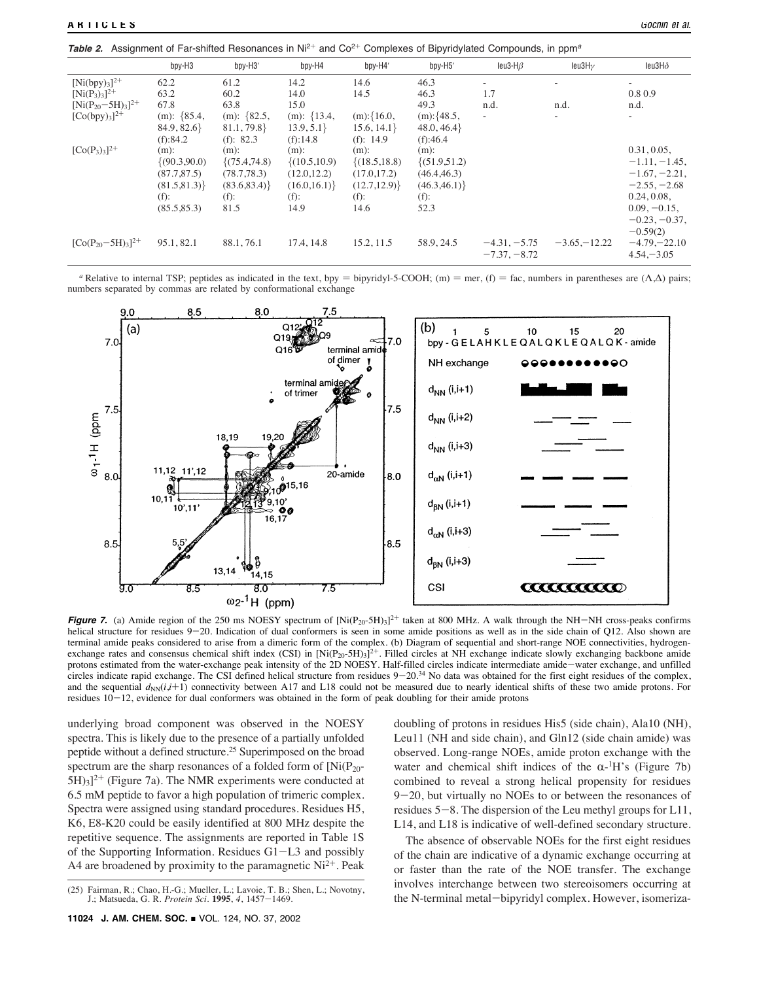**Table 2.** Assignment of Far-shifted Resonances in Ni<sup>2+</sup> and Co<sup>2+</sup> Complexes of Bipyridylated Compounds, in ppm<sup>a</sup>

| Gochin et al. |  |  |  |  |  |  |  |  |
|---------------|--|--|--|--|--|--|--|--|
|---------------|--|--|--|--|--|--|--|--|

|                         | bpy-H3         | bpy-H3'         | bpy-H4             | bpy-H4'          | bpy-H5'         | leu3-H $\beta$ | leu $3H\gamma$           | leu $3H\delta$  |
|-------------------------|----------------|-----------------|--------------------|------------------|-----------------|----------------|--------------------------|-----------------|
| $[Ni(bpy)_{3}]^{2+}$    | 62.2           | 61.2            | 14.2               | 14.6             | 46.3            | $\sim$         | $\overline{\phantom{a}}$ | $\sim$          |
| $[Ni(P_3)_3]^{2+}$      | 63.2           | 60.2            | 14.0               | 14.5             | 46.3            | 1.7            |                          | 0.8 0.9         |
| $[Ni(P_{20}-5H)3]^{2+}$ | 67.8           | 63.8            | 15.0               |                  | 49.3            | n.d.           | n.d.                     | n.d.            |
| $[Co(bpy)3]^{2+}$       | (m): ${85.4,}$ | (m): $\{82.5,$  | $(m): \{13.4,$     | $(m):\{16.0,$    | $(m):$ {48.5,   | $\equiv$       |                          | $\sim$          |
|                         | 84.9, 82.6     | 81.1, 79.8      | 13.9, 5.1          | 15.6, 14.1       | 48.0, 46.4      |                |                          |                 |
|                         | (f):84.2       | (f): $82.3$     | (f): 14.8          | (f): 14.9        | (f):46.4        |                |                          |                 |
| $[Co(P_3)_3]^{2+}$      | $(m)$ :        | $(m)$ :         | $(m)$ :            | $(m)$ :          | $(m)$ :         |                |                          | 0.31, 0.05,     |
|                         | (90.3, 90.0)   | $\{(75.4,74.8)$ | $\{(10.5, 10.9)\}$ | $\{(18.5, 18.8)$ | $\{(51.9,51.2)$ |                |                          | $-1.11, -1.45,$ |
|                         | (87.7, 87.5)   | (78.7, 78.3)    | (12.0, 12.2)       | (17.0, 17.2)     | (46.4, 46.3)    |                |                          | $-1.67, -2.21,$ |
|                         | (81.5, 81.3)   | (83.6, 83.4)    | (16.0, 16.1)       | (12.7, 12.9)     | (46.3, 46.1)    |                |                          | $-2.55, -2.68$  |
|                         | $(f)$ :        | $(f)$ :         | $(f)$ :            | $(f)$ :          | $(f)$ :         |                |                          | 0.24, 0.08,     |
|                         | (85.5, 85.3)   | 81.5            | 14.9               | 14.6             | 52.3            |                |                          | $0.09, -0.15,$  |
|                         |                |                 |                    |                  |                 |                |                          | $-0.23, -0.37,$ |
|                         |                |                 |                    |                  |                 |                |                          | $-0.59(2)$      |
| $[Co(P20-5H)3]2+$       | 95.1, 82.1     | 88.1, 76.1      | 17.4, 14.8         | 15.2, 11.5       | 58.9, 24.5      | $-4.31, -5.75$ | $-3.65 - 12.22$          | $-4.79 - 22.10$ |
|                         |                |                 |                    |                  |                 | $-7.37, -8.72$ |                          | $4.54 - 3.05$   |
|                         |                |                 |                    |                  |                 |                |                          |                 |

*a* Relative to internal TSP; peptides as indicated in the text, bpy = bipyridyl-5-COOH; (m) = mer, (f) = fac, numbers in parentheses are (Λ,Δ) pairs; numbers separated by commas are related by conformational exchange



Figure 7. (a) Amide region of the 250 ms NOESY spectrum of  $[Ni(P_{20} - 5H)_3]^{2+}$  taken at 800 MHz. A walk through the NH-NH cross-peaks confirms helical structure for residues 9-20. Indication of dual conformers is seen in some amide positions as well as in the side chain of Q12. Also shown are terminal amide peaks considered to arise from a dimeric form of the complex. (b) Diagram of sequential and short-range NOE connectivities, hydrogenexchange rates and consensus chemical shift index (CSI) in  $[Ni(P_{20}-5H)_3]^2$ <sup>+</sup>. Filled circles at NH exchange indicate slowly exchanging backbone amide protons estimated from the water-exchange peak intensity of the 2D NOESY. Half-filled circles indicate intermediate amide-water exchange, and unfilled circles indicate rapid exchange. The CSI defined helical structure from residues  $9-20.34$  No data was obtained for the first eight residues of the complex, and the sequential  $d_{NN}(i,i+1)$  connectivity between A17 and L18 could not be measured due to nearly identical shifts of these two amide protons. For residues 10-12, evidence for dual conformers was obtained in the form of peak doubling for their amide protons

underlying broad component was observed in the NOESY spectra. This is likely due to the presence of a partially unfolded peptide without a defined structure.25 Superimposed on the broad spectrum are the sharp resonances of a folded form of  $[Ni(P_{20} 5H$ <sub>3</sub>]<sup>2+</sup> (Figure 7a). The NMR experiments were conducted at 6.5 mM peptide to favor a high population of trimeric complex. Spectra were assigned using standard procedures. Residues H5, K6, E8-K20 could be easily identified at 800 MHz despite the repetitive sequence. The assignments are reported in Table 1S of the Supporting Information. Residues G1-L3 and possibly A4 are broadened by proximity to the paramagnetic  $Ni^{2+}$ . Peak doubling of protons in residues His5 (side chain), Ala10 (NH), Leu11 (NH and side chain), and Gln12 (side chain amide) was observed. Long-range NOEs, amide proton exchange with the water and chemical shift indices of the  $\alpha$ -<sup>1</sup>H's (Figure 7b) combined to reveal a strong helical propensity for residues 9-20, but virtually no NOEs to or between the resonances of residues 5-8. The dispersion of the Leu methyl groups for L11, L14, and L18 is indicative of well-defined secondary structure.

The absence of observable NOEs for the first eight residues of the chain are indicative of a dynamic exchange occurring at or faster than the rate of the NOE transfer. The exchange involves interchange between two stereoisomers occurring at the N-terminal metal-bipyridyl complex. However, isomeriza-<br>1995, 4, 1457–1469. I.; Matsueda, G. R. Protein Sci. 1995, 4, 1457–1469. I. Novotny, the N-terminal metal-bipyridyl complex. However, isomeriza-

J.; Matsueda, G. R. *Protein Sci.* **1995**, *4*, 1457-1469.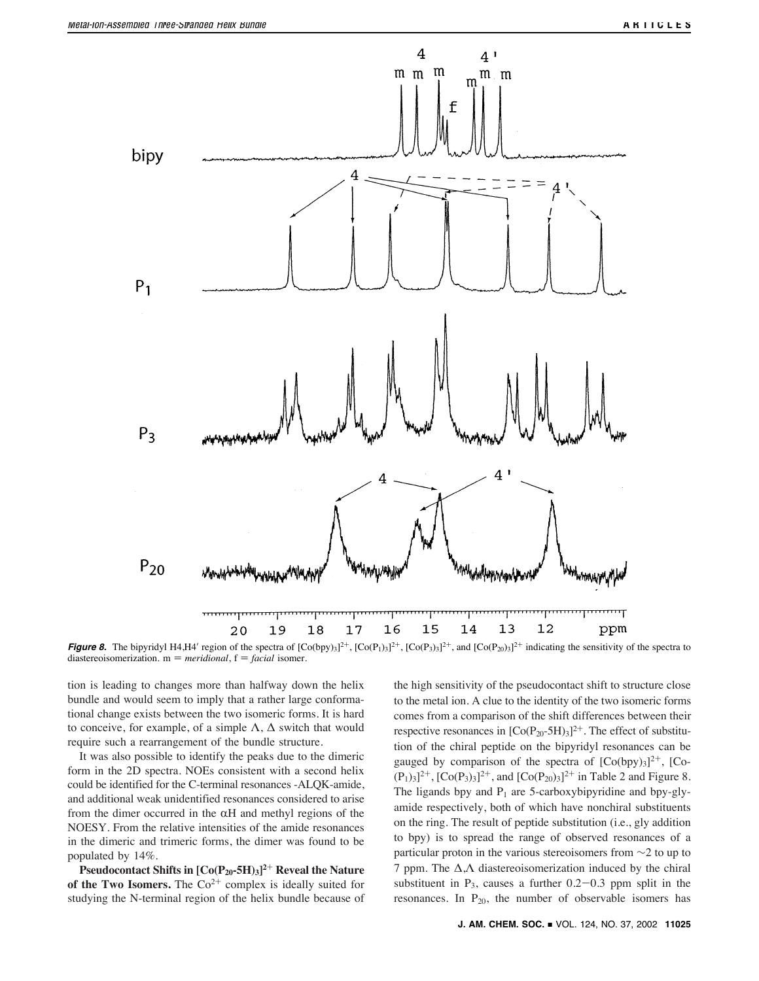

**Figure 8.** The bipyridyl H4,H4' region of the spectra of  $[Co(bpy)_3]^{2+}$ ,  $[Co(P_1)_3]^{2+}$ ,  $[Co(P_2)_3]^{2+}$ , and  $[Co(P_{20})_3]^{2+}$  indicating the sensitivity of the spectra to diastereoisomerization.  $m = meridional$ ,  $f = facial$  isomer.

tion is leading to changes more than halfway down the helix bundle and would seem to imply that a rather large conformational change exists between the two isomeric forms. It is hard to conceive, for example, of a simple  $\Lambda$ ,  $\Delta$  switch that would require such a rearrangement of the bundle structure.

It was also possible to identify the peaks due to the dimeric form in the 2D spectra. NOEs consistent with a second helix could be identified for the C-terminal resonances -ALQK-amide, and additional weak unidentified resonances considered to arise from the dimer occurred in the  $\alpha$ H and methyl regions of the NOESY. From the relative intensities of the amide resonances in the dimeric and trimeric forms, the dimer was found to be populated by 14%.

**Pseudocontact Shifts in [Co(P20-5H)3]2**<sup>+</sup> **Reveal the Nature** of the Two Isomers. The  $Co^{2+}$  complex is ideally suited for studying the N-terminal region of the helix bundle because of the high sensitivity of the pseudocontact shift to structure close to the metal ion. A clue to the identity of the two isomeric forms comes from a comparison of the shift differences between their respective resonances in  $[Co(P<sub>20</sub>-5H)<sub>3</sub>]^{2+}$ . The effect of substitution of the chiral peptide on the bipyridyl resonances can be gauged by comparison of the spectra of  $[Co(bpy)_3]^{2+}$ ,  $[Co (P_1)_3]^{2+}$ ,  $[Co(P_3)_3]^{2+}$ , and  $[Co(P_{20})_3]^{2+}$  in Table 2 and Figure 8. The ligands bpy and  $P_1$  are 5-carboxybipyridine and bpy-glyamide respectively, both of which have nonchiral substituents on the ring. The result of peptide substitution (i.e., gly addition to bpy) is to spread the range of observed resonances of a particular proton in the various stereoisomers from ∼2 to up to 7 ppm. The  $\Delta$ , $\Lambda$  diastereoisomerization induced by the chiral substituent in  $P_3$ , causes a further  $0.2-0.3$  ppm split in the resonances. In  $P_{20}$ , the number of observable isomers has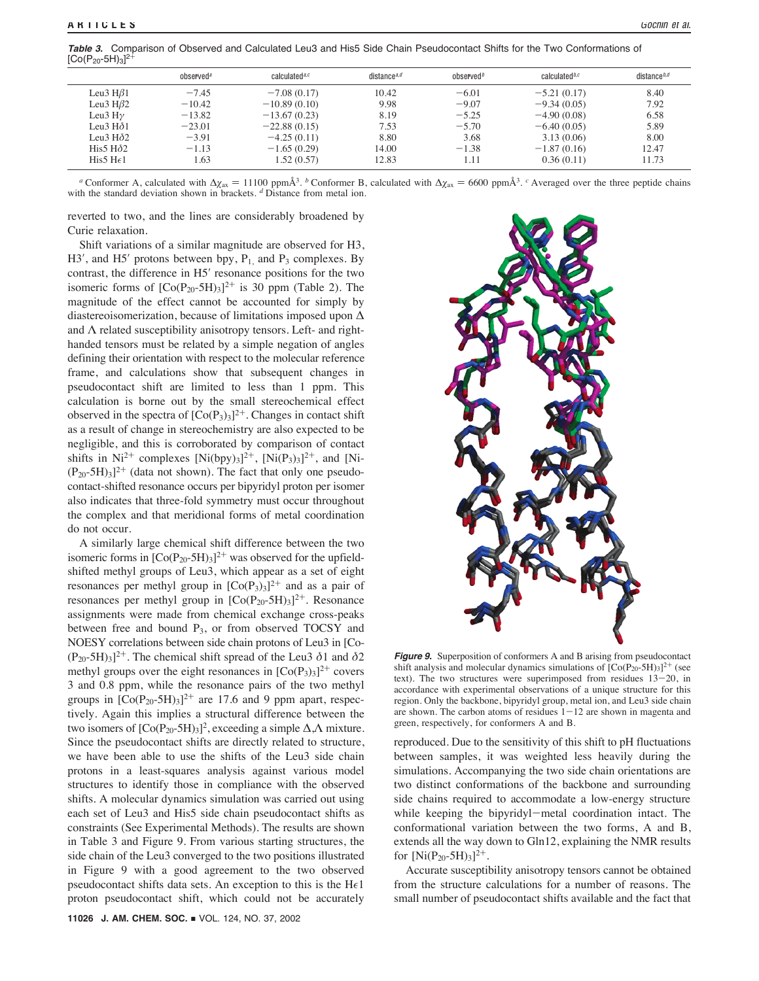**Table 3.** Comparison of Observed and Calculated Leu3 and His5 Side Chain Pseudocontact Shifts for the Two Conformations of  $[Co(P<sub>20</sub>-5H)<sub>3</sub>]<sup>2+</sup>$ 

|                       | observed <sup>a</sup> | calculated <sup>a,c</sup> | distance <sup>a,d</sup> | observed <sup>b</sup> | calculated <sup>b,c</sup> | distance $b,d$ |
|-----------------------|-----------------------|---------------------------|-------------------------|-----------------------|---------------------------|----------------|
| Leu3 H $\beta$ 1      | $-7.45$               | $-7.08(0.17)$             | 10.42                   | $-6.01$               | $-5.21(0.17)$             | 8.40           |
| Leu3 H $\beta$ 2      | $-10.42$              | $-10.89(0.10)$            | 9.98                    | $-9.07$               | $-9.34(0.05)$             | 7.92           |
| Leu3 Hγ               | $-13.82$              | $-13.67(0.23)$            | 8.19                    | $-5.25$               | $-4.90(0.08)$             | 6.58           |
| Leu3 Hδ1              | $-23.01$              | $-22.88(0.15)$            | 7.53                    | $-5.70$               | $-6.40(0.05)$             | 5.89           |
| Leu3 $H\delta$ 2      | $-3.91$               | $-4.25(0.11)$             | 8.80                    | 3.68                  | 3.13(0.06)                | 8.00           |
| His5 $H\delta2$       | $-1.13$               | $-1.65(0.29)$             | 14.00                   | $-1.38$               | $-1.87(0.16)$             | 12.47          |
| His5 H <sub>6</sub> 1 | .63                   | 1.52(0.57)                | 12.83                   | 1.11                  | 0.36(0.11)                | 11.73          |
|                       |                       |                           |                         |                       |                           |                |

*a* Conformer A, calculated with  $\Delta \chi_{\text{ax}} = 11100 \text{ ppm} \text{Å}^3$ . *b* Conformer B, calculated with  $\Delta \chi_{\text{ax}} = 6600 \text{ ppm} \text{Å}^3$ . *c* Averaged over the three peptide chains with the standard deviation shown in brackets. *d* Distance from metal ion.

reverted to two, and the lines are considerably broadened by Curie relaxation.

Shift variations of a similar magnitude are observed for H3,  $H3'$ , and  $H5'$  protons between bpy,  $P<sub>1</sub>$ , and  $P<sub>3</sub>$  complexes. By contrast, the difference in H5' resonance positions for the two isomeric forms of  $[Co(P<sub>20</sub>-5H)<sub>3</sub>]^{2+}$  is 30 ppm (Table 2). The magnitude of the effect cannot be accounted for simply by diastereoisomerization, because of limitations imposed upon ∆ and  $\Lambda$  related susceptibility anisotropy tensors. Left- and righthanded tensors must be related by a simple negation of angles defining their orientation with respect to the molecular reference frame, and calculations show that subsequent changes in pseudocontact shift are limited to less than 1 ppm. This calculation is borne out by the small stereochemical effect observed in the spectra of  $[Co(P_3)_3]^{2+}$ . Changes in contact shift as a result of change in stereochemistry are also expected to be negligible, and this is corroborated by comparison of contact shifts in Ni<sup>2+</sup> complexes [Ni(bpy)<sub>3</sub>]<sup>2+</sup>, [Ni(P<sub>3</sub>)<sub>3</sub>]<sup>2+</sup>, and [Ni- $(P_{20} - 5H)_3$ <sup>2+</sup> (data not shown). The fact that only one pseudocontact-shifted resonance occurs per bipyridyl proton per isomer also indicates that three-fold symmetry must occur throughout the complex and that meridional forms of metal coordination do not occur.

A similarly large chemical shift difference between the two isomeric forms in  $[Co(P_{20}-5H)_3]^{2+}$  was observed for the upfieldshifted methyl groups of Leu3, which appear as a set of eight resonances per methyl group in  $[Co(P_3)_3]^{2+}$  and as a pair of resonances per methyl group in  $[Co(P<sub>20</sub>-5H)<sub>3</sub>]^{2+}$ . Resonance assignments were made from chemical exchange cross-peaks between free and bound  $P_3$ , or from observed TOCSY and NOESY correlations between side chain protons of Leu3 in [Co-  $(P_{20} - 5H)_{3}$ <sup>2+</sup>. The chemical shift spread of the Leu3  $\delta$ 1 and  $\delta$ 2 methyl groups over the eight resonances in  $[Co(P_3)_3]^{2+}$  covers 3 and 0.8 ppm, while the resonance pairs of the two methyl groups in  $[Co(P<sub>20</sub>-5H)<sub>3</sub>]$ <sup>2+</sup> are 17.6 and 9 ppm apart, respectively. Again this implies a structural difference between the two isomers of  $[Co(P<sub>20</sub>-5H)<sub>3</sub>]<sup>2</sup>$ , exceeding a simple Δ,Λ mixture. Since the pseudocontact shifts are directly related to structure, we have been able to use the shifts of the Leu3 side chain protons in a least-squares analysis against various model structures to identify those in compliance with the observed shifts. A molecular dynamics simulation was carried out using each set of Leu3 and His5 side chain pseudocontact shifts as constraints (See Experimental Methods). The results are shown in Table 3 and Figure 9. From various starting structures, the side chain of the Leu3 converged to the two positions illustrated in Figure 9 with a good agreement to the two observed pseudocontact shifts data sets. An exception to this is the  $H \in I$ proton pseudocontact shift, which could not be accurately



**Figure 9.** Superposition of conformers A and B arising from pseudocontact shift analysis and molecular dynamics simulations of  $[Co(P<sub>20</sub>-5H)<sub>3</sub>]^{2+}$  (see text). The two structures were superimposed from residues 13-20, in accordance with experimental observations of a unique structure for this region. Only the backbone, bipyridyl group, metal ion, and Leu3 side chain are shown. The carbon atoms of residues  $1-12$  are shown in magenta and green, respectively, for conformers A and B.

reproduced. Due to the sensitivity of this shift to pH fluctuations between samples, it was weighted less heavily during the simulations. Accompanying the two side chain orientations are two distinct conformations of the backbone and surrounding side chains required to accommodate a low-energy structure while keeping the bipyridyl-metal coordination intact. The conformational variation between the two forms, A and B, extends all the way down to Gln12, explaining the NMR results for  $[Ni(P_{20}-5H)<sub>3</sub>]^{2+}$ .

Accurate susceptibility anisotropy tensors cannot be obtained from the structure calculations for a number of reasons. The small number of pseudocontact shifts available and the fact that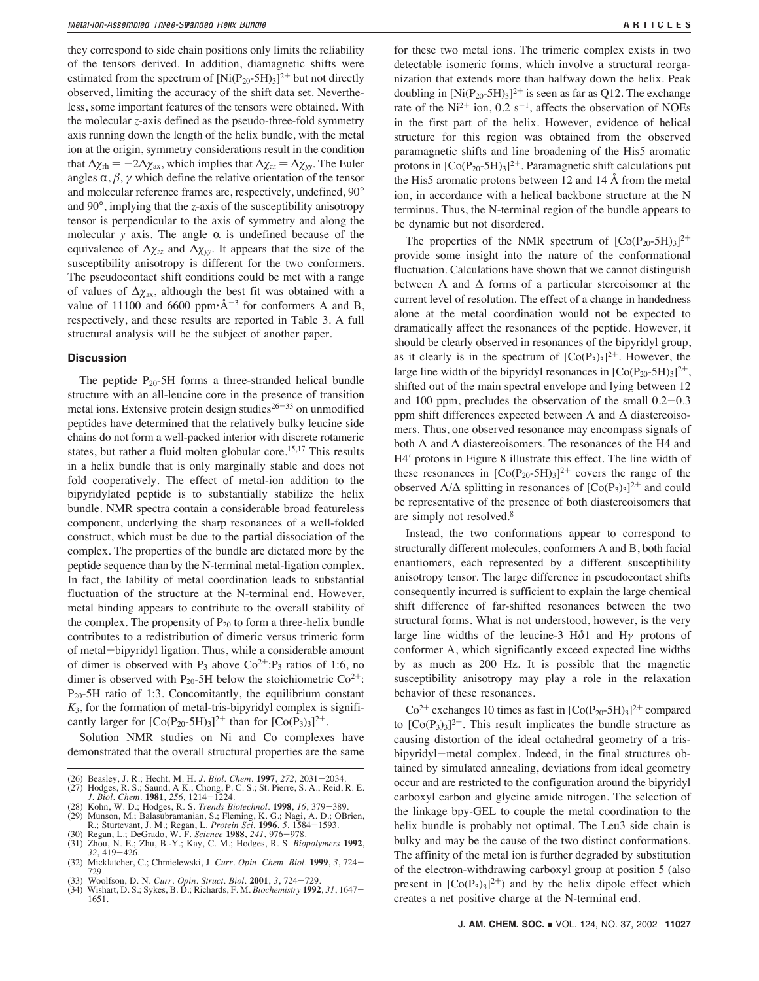they correspond to side chain positions only limits the reliability of the tensors derived. In addition, diamagnetic shifts were estimated from the spectrum of  $[Ni(P_{20}-5H)_3]^{2+}$  but not directly observed, limiting the accuracy of the shift data set. Nevertheless, some important features of the tensors were obtained. With the molecular *z*-axis defined as the pseudo-three-fold symmetry axis running down the length of the helix bundle, with the metal ion at the origin, symmetry considerations result in the condition that  $\Delta \chi_{\text{rh}} = -2\Delta \chi_{\text{ax}}$ , which implies that  $\Delta \chi_{zz} = \Delta \chi_{yy}$ . The Euler angles  $\alpha$ ,  $\beta$ ,  $\gamma$  which define the relative orientation of the tensor and molecular reference frames are, respectively, undefined, 90° and 90°, implying that the *z*-axis of the susceptibility anisotropy tensor is perpendicular to the axis of symmetry and along the molecular *y* axis. The angle  $\alpha$  is undefined because of the equivalence of  $\Delta \chi_{zz}$  and  $\Delta \chi_{yy}$ . It appears that the size of the susceptibility anisotropy is different for the two conformers. The pseudocontact shift conditions could be met with a range of values of  $\Delta \chi$ <sub>ax</sub>, although the best fit was obtained with a value of 11100 and 6600 ppm $\cdot$ Å<sup>-3</sup> for conformers A and B, respectively, and these results are reported in Table 3. A full structural analysis will be the subject of another paper.

## **Discussion**

The peptide  $P_{20}$ -5H forms a three-stranded helical bundle structure with an all-leucine core in the presence of transition metal ions. Extensive protein design studies $26-33$  on unmodified peptides have determined that the relatively bulky leucine side chains do not form a well-packed interior with discrete rotameric states, but rather a fluid molten globular core.<sup>15,17</sup> This results in a helix bundle that is only marginally stable and does not fold cooperatively. The effect of metal-ion addition to the bipyridylated peptide is to substantially stabilize the helix bundle. NMR spectra contain a considerable broad featureless component, underlying the sharp resonances of a well-folded construct, which must be due to the partial dissociation of the complex. The properties of the bundle are dictated more by the peptide sequence than by the N-terminal metal-ligation complex. In fact, the lability of metal coordination leads to substantial fluctuation of the structure at the N-terminal end. However, metal binding appears to contribute to the overall stability of the complex. The propensity of  $P_{20}$  to form a three-helix bundle contributes to a redistribution of dimeric versus trimeric form of metal-bipyridyl ligation. Thus, while a considerable amount of dimer is observed with  $P_3$  above  $Co^{2+}:P_3$  ratios of 1:6, no dimer is observed with P<sub>20</sub>-5H below the stoichiometric  $Co^{2+}$ : P20-5H ratio of 1:3. Concomitantly, the equilibrium constant  $K_3$ , for the formation of metal-tris-bipyridyl complex is significantly larger for  $[Co(P_{20}-5H)_3]^{2+}$  than for  $[Co(P_3)_3]^{2+}$ .

Solution NMR studies on Ni and Co complexes have demonstrated that the overall structural properties are the same

- 
- (26) Beasley, J. R.; Hecht, M. H. *J. Biol. Chem.* **1997**, 272, 2031–2034. (27) Hodges, R. S.; Saund, A K.; Chong, P. C. S.; St. Pierre, S. A.; Reid, R. E. *J. Biol. Chem.* **1981**, 256, 1214–1224.
- (28) Kohn, W. D.; Hodges, R. S. *Trends Biotechnol*. **1998**, *16*, 379-389.
- (29) Munson, M.; Balasubramanian, S.; Fleming, K. G.; Nagi, A. D.; OBrien, R.; Sturtevant, J. M.; Regan, L. *Protein Sci*. **1996**, 5, 1584–1593.<br>(30) Regan, L.; DeGrado, W. F. *Science* **1988**, 241, 976–978.<br>(31) Zhou, N.
- 
- (32) Micklatcher, C.; Chmielewski, J. *Curr. Opin. Chem. Biol.* **<sup>1999</sup>**, *<sup>3</sup>*, 724- 729.
- (33) Woolfson, D. N. *Curr. Opin. Struct. Biol*. **2001**, *3*, 724-729.
- (34) Wishart, D. S.; Sykes, B. D.; Richards, F. M. *Biochemistry* **1992**, *31*, 1647- 1651.

for these two metal ions. The trimeric complex exists in two detectable isomeric forms, which involve a structural reorganization that extends more than halfway down the helix. Peak doubling in  $[Ni(P_{20}-5H)_3]^2$ <sup>+</sup> is seen as far as Q12. The exchange rate of the Ni<sup>2+</sup> ion,  $0.2 s^{-1}$ , affects the observation of NOEs in the first part of the helix. However, evidence of helical structure for this region was obtained from the observed paramagnetic shifts and line broadening of the His5 aromatic protons in  $[Co(P<sub>20</sub>-5H)<sub>3</sub>]^{2+}$ . Paramagnetic shift calculations put the His5 aromatic protons between 12 and 14 Å from the metal ion, in accordance with a helical backbone structure at the N terminus. Thus, the N-terminal region of the bundle appears to be dynamic but not disordered.

The properties of the NMR spectrum of  $[Co(P_{20}-5H)<sub>3</sub>]^{2+}$ provide some insight into the nature of the conformational fluctuation. Calculations have shown that we cannot distinguish between  $\Lambda$  and  $\Delta$  forms of a particular stereoisomer at the current level of resolution. The effect of a change in handedness alone at the metal coordination would not be expected to dramatically affect the resonances of the peptide. However, it should be clearly observed in resonances of the bipyridyl group, as it clearly is in the spectrum of  $[Co(P_3)_3]^2$ <sup>+</sup>. However, the large line width of the bipyridyl resonances in  $[Co(P_{20}-5H)_3]^{2+}$ , shifted out of the main spectral envelope and lying between 12 and 100 ppm, precludes the observation of the small 0.2-0.3 ppm shift differences expected between  $\Lambda$  and  $\Delta$  diastereoisomers. Thus, one observed resonance may encompass signals of both  $\Lambda$  and  $\Delta$  diastereoisomers. The resonances of the H4 and H4! protons in Figure 8 illustrate this effect. The line width of these resonances in  $[Co(P<sub>20</sub>-5H)<sub>3</sub>]^{2+}$  covers the range of the observed  $\Lambda/\Delta$  splitting in resonances of  $[Co(P_3)_3]^{2+}$  and could be representative of the presence of both diastereoisomers that are simply not resolved.8

Instead, the two conformations appear to correspond to structurally different molecules, conformers A and B, both facial enantiomers, each represented by a different susceptibility anisotropy tensor. The large difference in pseudocontact shifts consequently incurred is sufficient to explain the large chemical shift difference of far-shifted resonances between the two structural forms. What is not understood, however, is the very large line widths of the leucine-3  $H\delta$ 1 and  $H\gamma$  protons of conformer A, which significantly exceed expected line widths by as much as 200 Hz. It is possible that the magnetic susceptibility anisotropy may play a role in the relaxation behavior of these resonances.

 $Co<sup>2+</sup>$  exchanges 10 times as fast in  $[Co(P<sub>20</sub>-5H)<sub>3</sub>]<sup>2+</sup>$  compared to  $[Co(P<sub>3</sub>)<sub>3</sub>]<sup>2+</sup>$ . This result implicates the bundle structure as causing distortion of the ideal octahedral geometry of a trisbipyridyl-metal complex. Indeed, in the final structures obtained by simulated annealing, deviations from ideal geometry occur and are restricted to the configuration around the bipyridyl carboxyl carbon and glycine amide nitrogen. The selection of the linkage bpy-GEL to couple the metal coordination to the helix bundle is probably not optimal. The Leu3 side chain is bulky and may be the cause of the two distinct conformations. The affinity of the metal ion is further degraded by substitution of the electron-withdrawing carboxyl group at position 5 (also present in  $[Co(P_3)_3]^{2+}$  and by the helix dipole effect which creates a net positive charge at the N-terminal end.